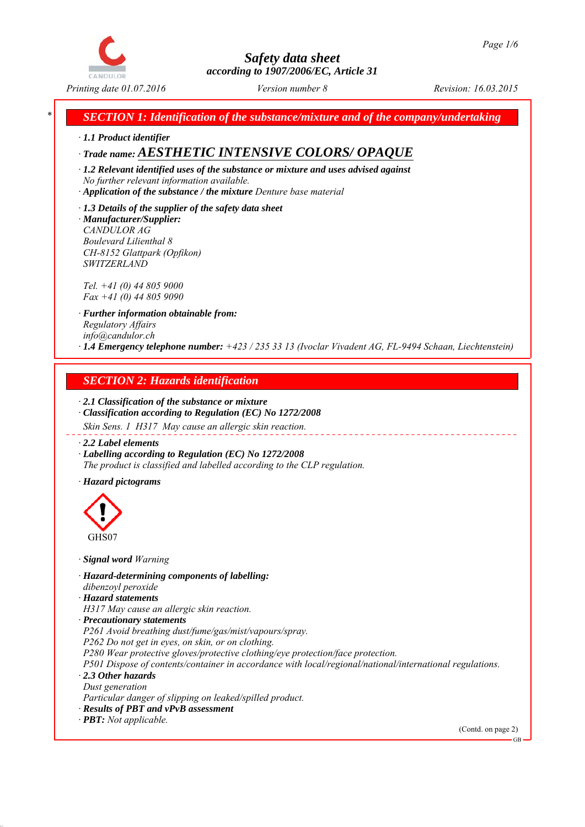

*\* SECTION 1: Identification of the substance/mixture and of the company/undertaking*

*∙ 1.1 Product identifier*

*∙ Trade name: AESTHETIC INTENSIVE COLORS/ OPAQUE*

*∙ 1.2 Relevant identified uses of the substance or mixture and uses advised against No further relevant information available.*

*∙ Application of the substance / the mixture Denture base material*

*∙ 1.3 Details of the supplier of the safety data sheet ∙ Manufacturer/Supplier: CANDULOR AG Boulevard Lilienthal 8 CH-8152 Glattpark (Opfikon) SWITZERLAND*

*Tel. +41 (0) 44 805 9000 Fax +41 (0) 44 805 9090*

*∙ Further information obtainable from: Regulatory Affairs info@candulor.ch ∙ 1.4 Emergency telephone number: +423 / 235 33 13 (Ivoclar Vivadent AG, FL-9494 Schaan, Liechtenstein)*

## *SECTION 2: Hazards identification*

*∙ 2.1 Classification of the substance or mixture ∙ Classification according to Regulation (EC) No 1272/2008*

*Skin Sens. 1 H317 May cause an allergic skin reaction.*

*∙ 2.2 Label elements*

*∙ Labelling according to Regulation (EC) No 1272/2008 The product is classified and labelled according to the CLP regulation.*

*∙ Hazard pictograms*



*∙ Signal word Warning*

*∙ Hazard-determining components of labelling: dibenzoyl peroxide*

*∙ Hazard statements*

*H317 May cause an allergic skin reaction.*

*∙ Precautionary statements*

*P261 Avoid breathing dust/fume/gas/mist/vapours/spray.*

*P262 Do not get in eyes, on skin, or on clothing.*

*P280 Wear protective gloves/protective clothing/eye protection/face protection.*

*P501 Dispose of contents/container in accordance with local/regional/national/international regulations. ∙ 2.3 Other hazards*

*Dust generation*

*Particular danger of slipping on leaked/spilled product.*

*∙ Results of PBT and vPvB assessment*

*∙ PBT: Not applicable.*

(Contd. on page 2)

GB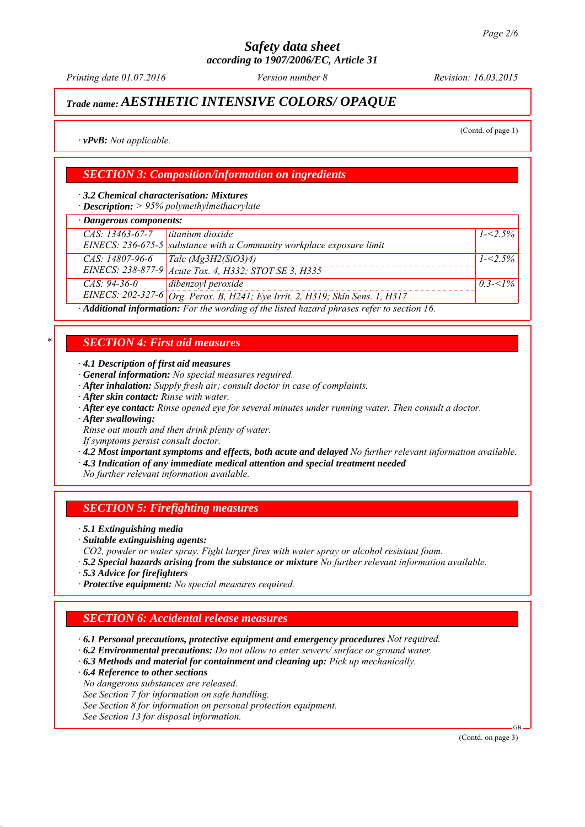*Printing date 01.07.2016 Revision: 16.03.2015 Version number 8*

## *Trade name: AESTHETIC INTENSIVE COLORS/ OPAQUE*

(Contd. of page 1)

*∙ vPvB: Not applicable.*

## *SECTION 3: Composition/information on ingredients*

*∙ 3.2 Chemical characterisation: Mixtures*

*∙ Description: > 95% polymethylmethacrylate*

## *∙ Dangerous components:*

| <b>Dansel</b> ond components.                                                                                         |             |  |  |
|-----------------------------------------------------------------------------------------------------------------------|-------------|--|--|
| titanium dioxide<br>CAS: 13463-67-7<br>EINECS: 236-675-5 substance with a Community workplace exposure limit          | $1 - 2.5\%$ |  |  |
| CAS: 14807-96-6<br>Talc ( $Mg3H2(SiO3)4$ )<br>EINECS: 238-877-9 Acute Tox. 4, H332; STOT SE 3, H335                   | $1 - 2.5\%$ |  |  |
| dibenzoyl peroxide<br>$CAS: 94-36-0$<br>EINECS: 202-327-6 Org. Perox. B, H241; Eye Irrit. 2, H319; Skin Sens. 1, H317 | $0.3 - 1\%$ |  |  |
| $\cdot$ <b>Additional information:</b> For the wording of the listed hazard phrases refer to section 16               |             |  |  |

*∙ Additional information: For the wording of the listed hazard phrases refer to section 16.*

## *\* SECTION 4: First aid measures*

*∙ 4.1 Description of first aid measures*

- *∙ General information: No special measures required.*
- *∙ After inhalation: Supply fresh air; consult doctor in case of complaints.*
- *∙ After skin contact: Rinse with water.*
- *∙ After eye contact: Rinse opened eye for several minutes under running water. Then consult a doctor.*
- *∙ After swallowing:*

*Rinse out mouth and then drink plenty of water.*

*If symptoms persist consult doctor.*

- *∙ 4.2 Most important symptoms and effects, both acute and delayed No further relevant information available.*
- *∙ 4.3 Indication of any immediate medical attention and special treatment needed*
- *No further relevant information available.*

### *SECTION 5: Firefighting measures*

- *∙ 5.1 Extinguishing media*
- *∙ Suitable extinguishing agents:*
- *CO2, powder or water spray. Fight larger fires with water spray or alcohol resistant foam.*
- *∙ 5.2 Special hazards arising from the substance or mixture No further relevant information available.*
- *∙ 5.3 Advice for firefighters*
- *∙ Protective equipment: No special measures required.*

## *SECTION 6: Accidental release measures*

- *∙ 6.1 Personal precautions, protective equipment and emergency procedures Not required.*
- *∙ 6.2 Environmental precautions: Do not allow to enter sewers/ surface or ground water.*
- *∙ 6.3 Methods and material for containment and cleaning up: Pick up mechanically.*
- *∙ 6.4 Reference to other sections*
- *No dangerous substances are released.*
- *See Section 7 for information on safe handling.*
- *See Section 8 for information on personal protection equipment.*

*See Section 13 for disposal information.*

(Contd. on page 3)

GB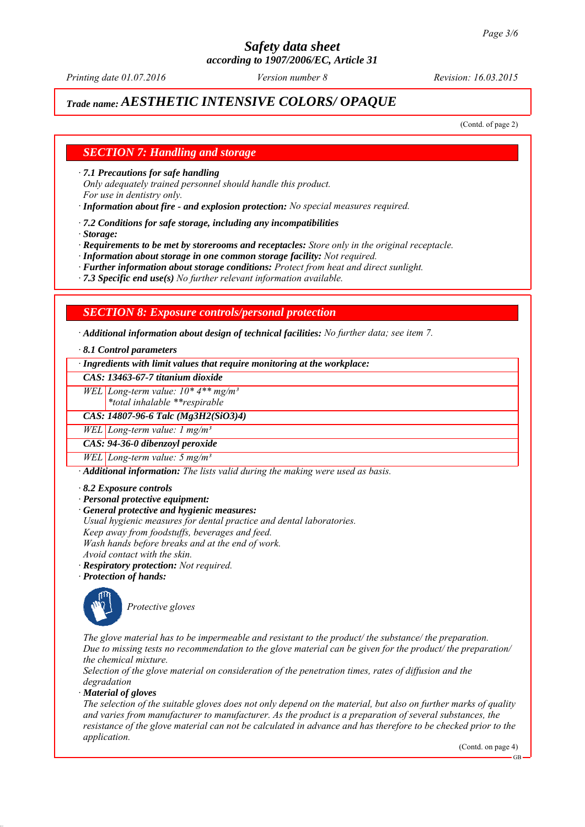*Printing date 01.07.2016 Revision: 16.03.2015 Version number 8*

## *Trade name: AESTHETIC INTENSIVE COLORS/ OPAQUE*

(Contd. of page 2)

### *SECTION 7: Handling and storage*

*∙ 7.1 Precautions for safe handling*

*Only adequately trained personnel should handle this product. For use in dentistry only.*

*∙ Information about fire - and explosion protection: No special measures required.*

*∙ 7.2 Conditions for safe storage, including any incompatibilities*

*∙ Storage:*

*∙ Requirements to be met by storerooms and receptacles: Store only in the original receptacle.*

*∙ Information about storage in one common storage facility: Not required.*

*∙ Further information about storage conditions: Protect from heat and direct sunlight.*

*∙ 7.3 Specific end use(s) No further relevant information available.*

### *SECTION 8: Exposure controls/personal protection*

*∙ Additional information about design of technical facilities: No further data; see item 7.*

*∙ 8.1 Control parameters*

*∙ Ingredients with limit values that require monitoring at the workplace:*

*CAS: 13463-67-7 titanium dioxide*

*WEL Long-term value: 10\* 4\*\* mg/m³*

*\*total inhalable \*\*respirable*

*CAS: 14807-96-6 Talc (Mg3H2(SiO3)4)*

*WEL Long-term value: 1 mg/m³*

*CAS: 94-36-0 dibenzoyl peroxide*

*WEL Long-term value: 5 mg/m³*

*∙ Additional information: The lists valid during the making were used as basis.*

*∙ 8.2 Exposure controls*

*∙ Personal protective equipment:*

- *∙ General protective and hygienic measures:*
- *Usual hygienic measures for dental practice and dental laboratories.*

*Keep away from foodstuffs, beverages and feed.*

*Wash hands before breaks and at the end of work.*

*Avoid contact with the skin.*

*∙ Respiratory protection: Not required.*

*∙ Protection of hands:*



*Protective gloves*

*The glove material has to be impermeable and resistant to the product/ the substance/ the preparation. Due to missing tests no recommendation to the glove material can be given for the product/ the preparation/ the chemical mixture.*

*Selection of the glove material on consideration of the penetration times, rates of diffusion and the degradation*

*∙ Material of gloves*

*The selection of the suitable gloves does not only depend on the material, but also on further marks of quality and varies from manufacturer to manufacturer. As the product is a preparation of several substances, the resistance of the glove material can not be calculated in advance and has therefore to be checked prior to the application.*

(Contd. on page 4)

GB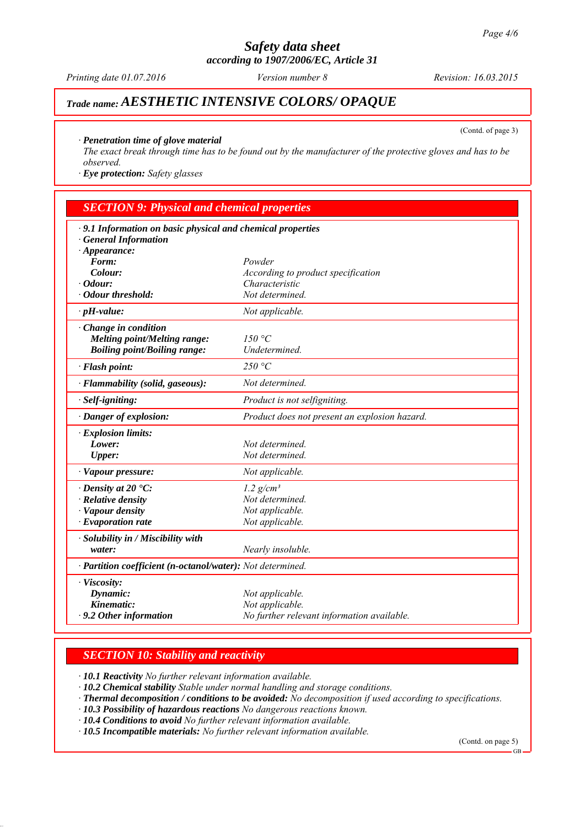*Printing date 01.07.2016 Revision: 16.03.2015 Version number 8*

# *Trade name: AESTHETIC INTENSIVE COLORS/ OPAQUE*

(Contd. of page 3)

### *∙ Penetration time of glove material*

*The exact break through time has to be found out by the manufacturer of the protective gloves and has to be observed.*

*∙ Eye protection: Safety glasses*

| <b>SECTION 9: Physical and chemical properties</b>          |                                               |  |  |
|-------------------------------------------------------------|-----------------------------------------------|--|--|
| · 9.1 Information on basic physical and chemical properties |                                               |  |  |
| <b>General Information</b>                                  |                                               |  |  |
| $\cdot$ Appearance:                                         |                                               |  |  |
| Form:                                                       | Powder                                        |  |  |
| Colour:                                                     | According to product specification            |  |  |
| $\cdot$ Odour:                                              | Characteristic                                |  |  |
| · Odour threshold:                                          | Not determined.                               |  |  |
| $\cdot$ pH-value:                                           | Not applicable.                               |  |  |
| $\cdot$ Change in condition                                 |                                               |  |  |
| <b>Melting point/Melting range:</b>                         | 150 °C                                        |  |  |
| <b>Boiling point/Boiling range:</b>                         | Undetermined.                                 |  |  |
| · Flash point:                                              | 250 °C                                        |  |  |
| · Flammability (solid, gaseous):                            | Not determined.                               |  |  |
| · Self-igniting:                                            | Product is not selfigniting.                  |  |  |
| · Danger of explosion:                                      | Product does not present an explosion hazard. |  |  |
| · Explosion limits:                                         |                                               |  |  |
| Lower:                                                      | Not determined.                               |  |  |
| <b>Upper:</b>                                               | Not determined.                               |  |  |
| · Vapour pressure:                                          | Not applicable.                               |  |  |
| $\cdot$ Density at 20 $\cdot$ C:                            | $1.2$ g/cm <sup>3</sup>                       |  |  |
| · Relative density                                          | Not determined.                               |  |  |
| · Vapour density                                            | Not applicable.                               |  |  |
| $\cdot$ Evaporation rate                                    | Not applicable.                               |  |  |
| · Solubility in / Miscibility with                          |                                               |  |  |
| water:                                                      | Nearly insoluble.                             |  |  |
| · Partition coefficient (n-octanol/water): Not determined.  |                                               |  |  |
| · Viscosity:                                                |                                               |  |  |
| Dynamic:                                                    | Not applicable.                               |  |  |
| Kinematic:                                                  | Not applicable.                               |  |  |
| $\cdot$ 9.2 Other information                               | No further relevant information available.    |  |  |

## *SECTION 10: Stability and reactivity*

*∙ 10.1 Reactivity No further relevant information available.*

*∙ 10.2 Chemical stability Stable under normal handling and storage conditions.*

- *∙ Thermal decomposition / conditions to be avoided: No decomposition if used according to specifications.*
- *∙ 10.3 Possibility of hazardous reactions No dangerous reactions known.*

*∙ 10.4 Conditions to avoid No further relevant information available.*

*∙ 10.5 Incompatible materials: No further relevant information available.*

(Contd. on page 5)

.<br>GB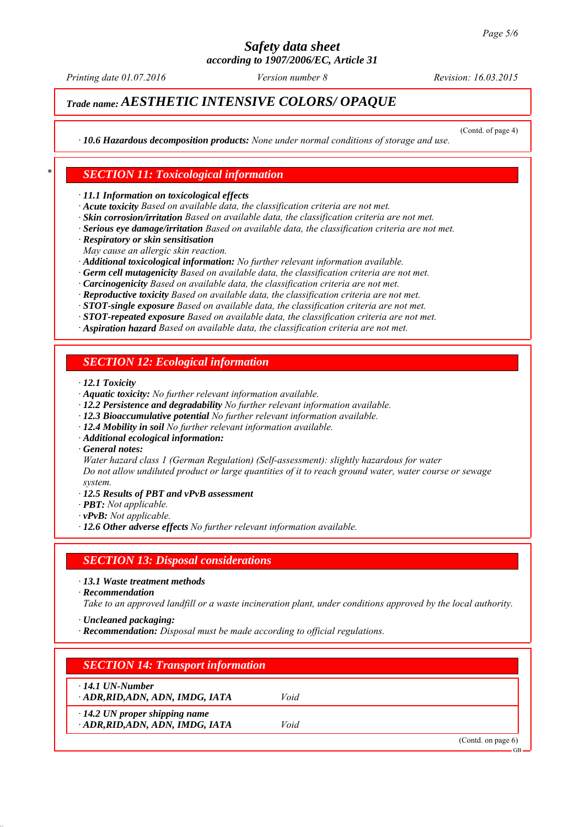*Printing date 01.07.2016 Revision: 16.03.2015 Version number 8*

## *Trade name: AESTHETIC INTENSIVE COLORS/ OPAQUE*

(Contd. of page 4)

*∙ 10.6 Hazardous decomposition products: None under normal conditions of storage and use.*

### *\* SECTION 11: Toxicological information*

*∙ 11.1 Information on toxicological effects*

- *∙ Acute toxicity Based on available data, the classification criteria are not met.*
- *∙ Skin corrosion/irritation Based on available data, the classification criteria are not met.*
- *∙ Serious eye damage/irritation Based on available data, the classification criteria are not met.*
- *∙ Respiratory or skin sensitisation*
- *May cause an allergic skin reaction.*
- *∙ Additional toxicological information: No further relevant information available.*
- *∙ Germ cell mutagenicity Based on available data, the classification criteria are not met.*
- *∙ Carcinogenicity Based on available data, the classification criteria are not met.*
- *∙ Reproductive toxicity Based on available data, the classification criteria are not met.*
- *∙ STOT-single exposure Based on available data, the classification criteria are not met.*

*∙ STOT-repeated exposure Based on available data, the classification criteria are not met.*

*∙ Aspiration hazard Based on available data, the classification criteria are not met.*

### *SECTION 12: Ecological information*

*∙ 12.1 Toxicity*

- *∙ Aquatic toxicity: No further relevant information available.*
- *∙ 12.2 Persistence and degradability No further relevant information available.*
- *∙ 12.3 Bioaccumulative potential No further relevant information available.*
- *∙ 12.4 Mobility in soil No further relevant information available.*
- *∙ Additional ecological information:*
- *∙ General notes:*

*Water hazard class 1 (German Regulation) (Self-assessment): slightly hazardous for water Do not allow undiluted product or large quantities of it to reach ground water, water course or sewage system.*

- *∙ 12.5 Results of PBT and vPvB assessment*
- *∙ PBT: Not applicable.*
- *∙ vPvB: Not applicable.*
- *∙ 12.6 Other adverse effects No further relevant information available.*

### *SECTION 13: Disposal considerations*

*∙ 13.1 Waste treatment methods*

*∙ Recommendation*

*Take to an approved landfill or a waste incineration plant, under conditions approved by the local authority.*

- *∙ Uncleaned packaging:*
- *∙ Recommendation: Disposal must be made according to official regulations.*

| <b>SECTION 14: Transport information</b>                               |      |                   |
|------------------------------------------------------------------------|------|-------------------|
| $\cdot$ 14.1 UN-Number<br>ADR, RID, ADN, ADN, IMDG, IATA               | Void |                   |
| $\cdot$ 14.2 UN proper shipping name<br>ADR, RID, ADN, ADN, IMDG, IATA | Void |                   |
|                                                                        |      | (Cond. on page 6) |